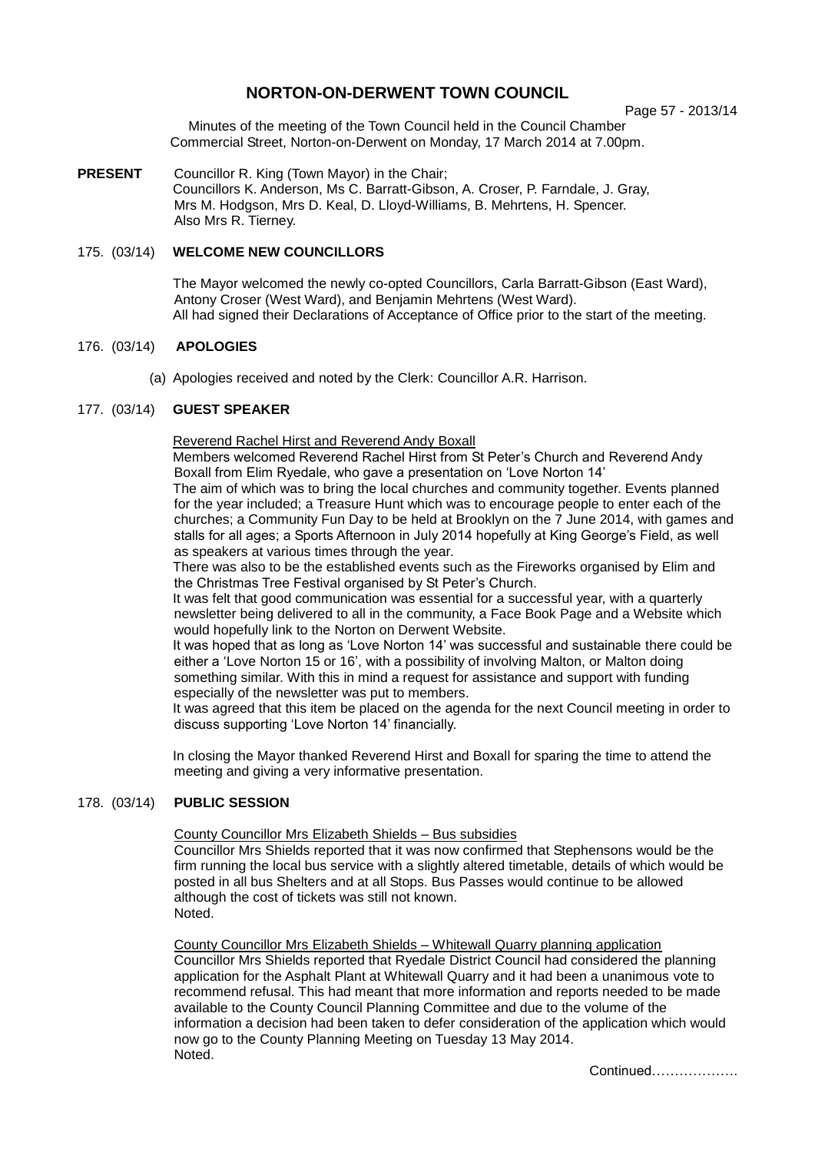# **NORTON-ON-DERWENT TOWN COUNCIL**

Page 57 - 2013/14

Minutes of the meeting of the Town Council held in the Council Chamber Commercial Street, Norton-on-Derwent on Monday, 17 March 2014 at 7.00pm.

**PRESENT** Councillor R. King (Town Mayor) in the Chair; Councillors K. Anderson, Ms C. Barratt-Gibson, A. Croser, P. Farndale, J. Gray, Mrs M. Hodgson, Mrs D. Keal, D. Lloyd-Williams, B. Mehrtens, H. Spencer. Also Mrs R. Tierney.

## 175. (03/14) **WELCOME NEW COUNCILLORS**

The Mayor welcomed the newly co-opted Councillors, Carla Barratt-Gibson (East Ward), Antony Croser (West Ward), and Benjamin Mehrtens (West Ward). All had signed their Declarations of Acceptance of Office prior to the start of the meeting.

### 176. (03/14) **APOLOGIES**

(a) Apologies received and noted by the Clerk: Councillor A.R. Harrison.

### 177. (03/14) **GUEST SPEAKER**

Reverend Rachel Hirst and Reverend Andy Boxall

Members welcomed Reverend Rachel Hirst from St Peter's Church and Reverend Andy Boxall from Elim Ryedale, who gave a presentation on 'Love Norton 14'

The aim of which was to bring the local churches and community together. Events planned for the year included; a Treasure Hunt which was to encourage people to enter each of the churches; a Community Fun Day to be held at Brooklyn on the 7 June 2014, with games and stalls for all ages; a Sports Afternoon in July 2014 hopefully at King George's Field, as well as speakers at various times through the year.

There was also to be the established events such as the Fireworks organised by Elim and the Christmas Tree Festival organised by St Peter's Church.

It was felt that good communication was essential for a successful year, with a quarterly newsletter being delivered to all in the community, a Face Book Page and a Website which would hopefully link to the Norton on Derwent Website.

It was hoped that as long as 'Love Norton 14' was successful and sustainable there could be either a 'Love Norton 15 or 16', with a possibility of involving Malton, or Malton doing something similar. With this in mind a request for assistance and support with funding especially of the newsletter was put to members.

It was agreed that this item be placed on the agenda for the next Council meeting in order to discuss supporting 'Love Norton 14' financially.

In closing the Mayor thanked Reverend Hirst and Boxall for sparing the time to attend the meeting and giving a very informative presentation.

#### 178. (03/14) **PUBLIC SESSION**

County Councillor Mrs Elizabeth Shields – Bus subsidies

Councillor Mrs Shields reported that it was now confirmed that Stephensons would be the firm running the local bus service with a slightly altered timetable, details of which would be posted in all bus Shelters and at all Stops. Bus Passes would continue to be allowed although the cost of tickets was still not known. Noted.

County Councillor Mrs Elizabeth Shields – Whitewall Quarry planning application Councillor Mrs Shields reported that Ryedale District Council had considered the planning application for the Asphalt Plant at Whitewall Quarry and it had been a unanimous vote to recommend refusal. This had meant that more information and reports needed to be made available to the County Council Planning Committee and due to the volume of the information a decision had been taken to defer consideration of the application which would now go to the County Planning Meeting on Tuesday 13 May 2014. Noted.

Continued……………….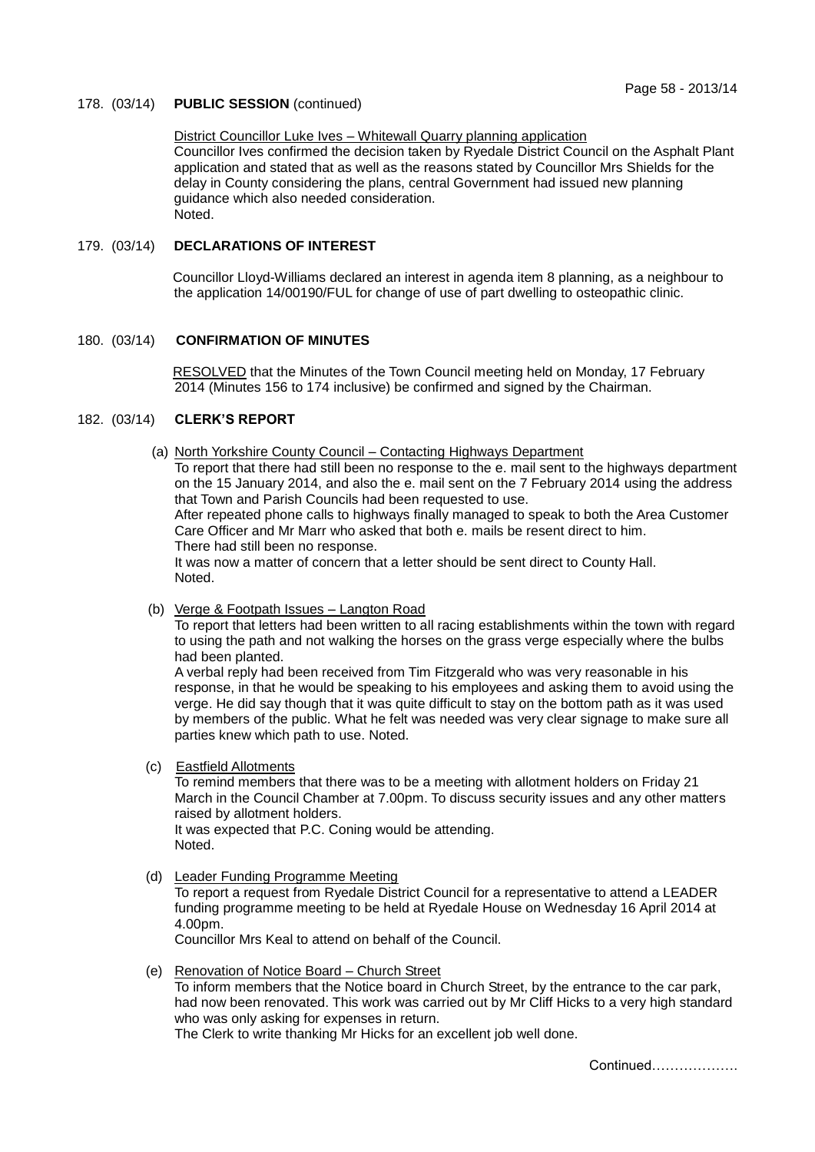#### 178. (03/14) **PUBLIC SESSION** (continued)

#### District Councillor Luke Ives – Whitewall Quarry planning application

Councillor Ives confirmed the decision taken by Ryedale District Council on the Asphalt Plant application and stated that as well as the reasons stated by Councillor Mrs Shields for the delay in County considering the plans, central Government had issued new planning guidance which also needed consideration. Noted.

#### 179. (03/14) **DECLARATIONS OF INTEREST**

 Councillor Lloyd-Williams declared an interest in agenda item 8 planning, as a neighbour to the application 14/00190/FUL for change of use of part dwelling to osteopathic clinic.

## 180. (03/14) **CONFIRMATION OF MINUTES**

RESOLVED that the Minutes of the Town Council meeting held on Monday, 17 February 2014 (Minutes 156 to 174 inclusive) be confirmed and signed by the Chairman.

#### 182. (03/14) **CLERK'S REPORT**

(a) North Yorkshire County Council – Contacting Highways Department

To report that there had still been no response to the e. mail sent to the highways department on the 15 January 2014, and also the e. mail sent on the 7 February 2014 using the address that Town and Parish Councils had been requested to use.

After repeated phone calls to highways finally managed to speak to both the Area Customer Care Officer and Mr Marr who asked that both e. mails be resent direct to him. There had still been no response.

It was now a matter of concern that a letter should be sent direct to County Hall. Noted.

(b) Verge & Footpath Issues – Langton Road

To report that letters had been written to all racing establishments within the town with regard to using the path and not walking the horses on the grass verge especially where the bulbs had been planted.

A verbal reply had been received from Tim Fitzgerald who was very reasonable in his response, in that he would be speaking to his employees and asking them to avoid using the verge. He did say though that it was quite difficult to stay on the bottom path as it was used by members of the public. What he felt was needed was very clear signage to make sure all parties knew which path to use. Noted.

(c) Eastfield Allotments

To remind members that there was to be a meeting with allotment holders on Friday 21 March in the Council Chamber at 7.00pm. To discuss security issues and any other matters raised by allotment holders. It was expected that P.C. Coning would be attending. Noted.

(d) Leader Funding Programme Meeting

To report a request from Ryedale District Council for a representative to attend a LEADER funding programme meeting to be held at Ryedale House on Wednesday 16 April 2014 at 4.00pm.

Councillor Mrs Keal to attend on behalf of the Council.

 (e) Renovation of Notice Board – Church Street To inform members that the Notice board in Church Street, by the entrance to the car park, had now been renovated. This work was carried out by Mr Cliff Hicks to a very high standard who was only asking for expenses in return.

The Clerk to write thanking Mr Hicks for an excellent job well done.

Continued……………….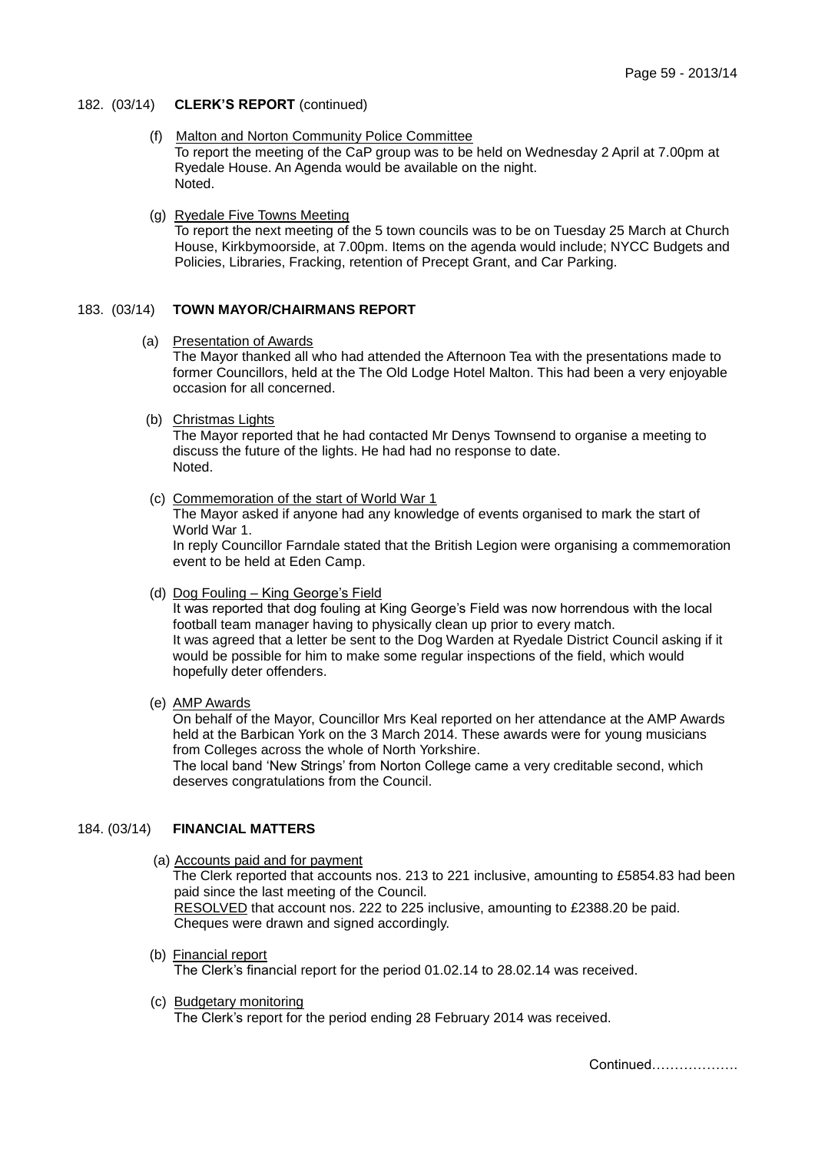182. (03/14) **CLERK'S REPORT** (continued)

- (f) Malton and Norton Community Police Committee To report the meeting of the CaP group was to be held on Wednesday 2 April at 7.00pm at Ryedale House. An Agenda would be available on the night. Noted.
- (g) Ryedale Five Towns Meeting To report the next meeting of the 5 town councils was to be on Tuesday 25 March at Church House, Kirkbymoorside, at 7.00pm. Items on the agenda would include; NYCC Budgets and Policies, Libraries, Fracking, retention of Precept Grant, and Car Parking.

# 183. (03/14) **TOWN MAYOR/CHAIRMANS REPORT**

(a) Presentation of Awards

The Mayor thanked all who had attended the Afternoon Tea with the presentations made to former Councillors, held at the The Old Lodge Hotel Malton. This had been a very enjoyable occasion for all concerned.

(b) Christmas Lights

The Mayor reported that he had contacted Mr Denys Townsend to organise a meeting to discuss the future of the lights. He had had no response to date. Noted.

(c) Commemoration of the start of World War 1

The Mayor asked if anyone had any knowledge of events organised to mark the start of World War 1.

In reply Councillor Farndale stated that the British Legion were organising a commemoration event to be held at Eden Camp.

(d) Dog Fouling – King George's Field

It was reported that dog fouling at King George's Field was now horrendous with the local football team manager having to physically clean up prior to every match. It was agreed that a letter be sent to the Dog Warden at Ryedale District Council asking if it would be possible for him to make some regular inspections of the field, which would hopefully deter offenders.

(e) AMP Awards

On behalf of the Mayor, Councillor Mrs Keal reported on her attendance at the AMP Awards held at the Barbican York on the 3 March 2014. These awards were for young musicians from Colleges across the whole of North Yorkshire.

The local band 'New Strings' from Norton College came a very creditable second, which deserves congratulations from the Council.

#### 184. (03/14) **FINANCIAL MATTERS**

- (a) Accounts paid and for payment The Clerk reported that accounts nos. 213 to 221 inclusive, amounting to £5854.83 had been paid since the last meeting of the Council. RESOLVED that account nos. 222 to 225 inclusive, amounting to £2388.20 be paid. Cheques were drawn and signed accordingly.
- (b) Financial report The Clerk's financial report for the period 01.02.14 to 28.02.14 was received.
- (c) Budgetary monitoring The Clerk's report for the period ending 28 February 2014 was received.

Continued……………….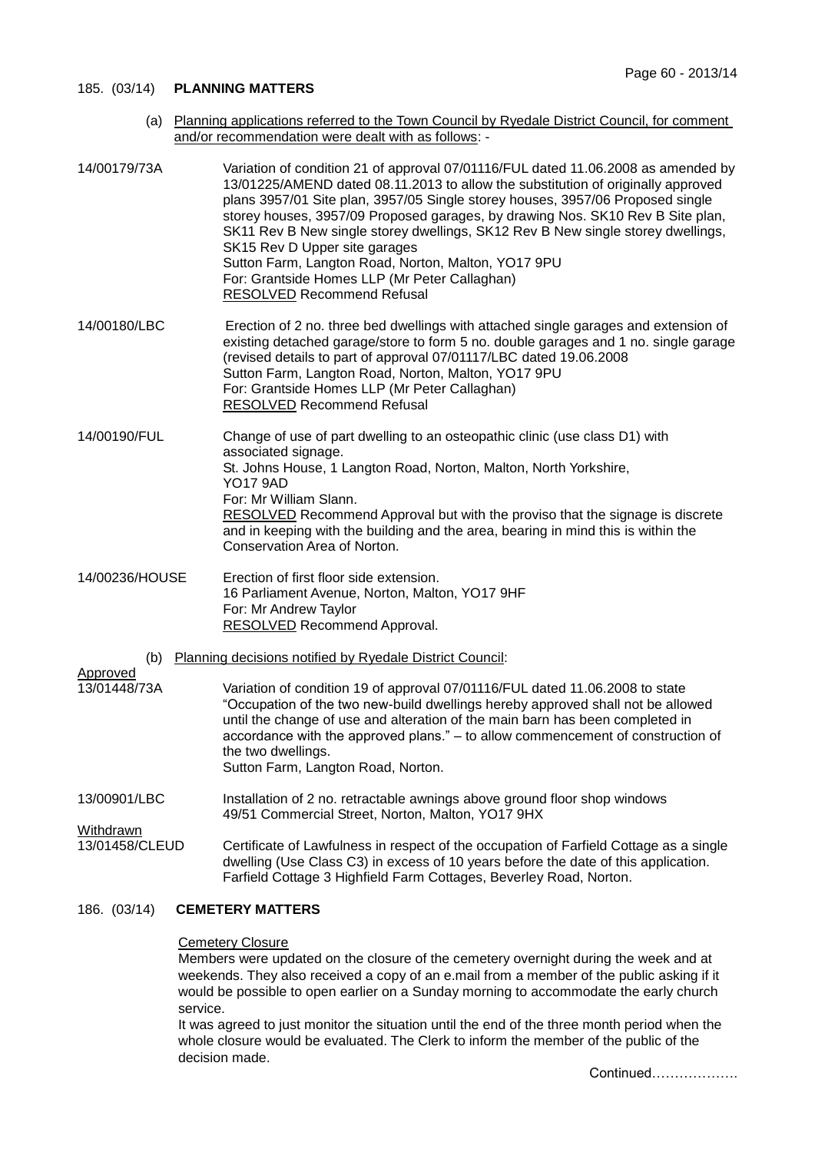#### 185. (03/14) **PLANNING MATTERS**

 (a) Planning applications referred to the Town Council by Ryedale District Council, for comment and/or recommendation were dealt with as follows: -

| 14/00179/73A                                                    | Variation of condition 21 of approval 07/01116/FUL dated 11.06.2008 as amended by<br>13/01225/AMEND dated 08.11.2013 to allow the substitution of originally approved<br>plans 3957/01 Site plan, 3957/05 Single storey houses, 3957/06 Proposed single<br>storey houses, 3957/09 Proposed garages, by drawing Nos. SK10 Rev B Site plan,<br>SK11 Rev B New single storey dwellings, SK12 Rev B New single storey dwellings,<br>SK15 Rev D Upper site garages<br>Sutton Farm, Langton Road, Norton, Malton, YO17 9PU<br>For: Grantside Homes LLP (Mr Peter Callaghan)<br><b>RESOLVED</b> Recommend Refusal |
|-----------------------------------------------------------------|------------------------------------------------------------------------------------------------------------------------------------------------------------------------------------------------------------------------------------------------------------------------------------------------------------------------------------------------------------------------------------------------------------------------------------------------------------------------------------------------------------------------------------------------------------------------------------------------------------|
| 14/00180/LBC                                                    | Erection of 2 no. three bed dwellings with attached single garages and extension of<br>existing detached garage/store to form 5 no. double garages and 1 no. single garage<br>(revised details to part of approval 07/01117/LBC dated 19.06.2008<br>Sutton Farm, Langton Road, Norton, Malton, YO17 9PU<br>For: Grantside Homes LLP (Mr Peter Callaghan)<br><b>RESOLVED Recommend Refusal</b>                                                                                                                                                                                                              |
| 14/00190/FUL                                                    | Change of use of part dwelling to an osteopathic clinic (use class D1) with<br>associated signage.<br>St. Johns House, 1 Langton Road, Norton, Malton, North Yorkshire,<br><b>YO17 9AD</b><br>For: Mr William Slann.<br>RESOLVED Recommend Approval but with the proviso that the signage is discrete<br>and in keeping with the building and the area, bearing in mind this is within the<br>Conservation Area of Norton.                                                                                                                                                                                 |
| 14/00236/HOUSE                                                  | Erection of first floor side extension.<br>16 Parliament Avenue, Norton, Malton, YO17 9HF<br>For: Mr Andrew Taylor<br><b>RESOLVED Recommend Approval.</b>                                                                                                                                                                                                                                                                                                                                                                                                                                                  |
| Planning decisions notified by Ryedale District Council:<br>(b) |                                                                                                                                                                                                                                                                                                                                                                                                                                                                                                                                                                                                            |
| <u>Approved</u><br>13/01448/73A                                 | Variation of condition 19 of approval 07/01116/FUL dated 11.06.2008 to state<br>"Occupation of the two new-build dwellings hereby approved shall not be allowed<br>until the change of use and alteration of the main barn has been completed in<br>accordance with the approved plans." - to allow commencement of construction of<br>the two dwellings.<br>Sutton Farm, Langton Road, Norton.                                                                                                                                                                                                            |
| 13/00901/LBC                                                    | Installation of 2 no. retractable awnings above ground floor shop windows<br>49/51 Commercial Street, Norton, Malton, YO17 9HX                                                                                                                                                                                                                                                                                                                                                                                                                                                                             |
| <u>Withdrawn</u><br>13/01458/CLEUD                              | Certificate of Lawfulness in respect of the occupation of Farfield Cottage as a single<br>dwelling (Use Class C3) in excess of 10 years before the date of this application.<br>Farfield Cottage 3 Highfield Farm Cottages, Beverley Road, Norton.                                                                                                                                                                                                                                                                                                                                                         |
|                                                                 |                                                                                                                                                                                                                                                                                                                                                                                                                                                                                                                                                                                                            |

# 186. (03/14) **CEMETERY MATTERS**

### **Cemetery Closure**

Members were updated on the closure of the cemetery overnight during the week and at weekends. They also received a copy of an e.mail from a member of the public asking if it would be possible to open earlier on a Sunday morning to accommodate the early church service.

It was agreed to just monitor the situation until the end of the three month period when the whole closure would be evaluated. The Clerk to inform the member of the public of the decision made.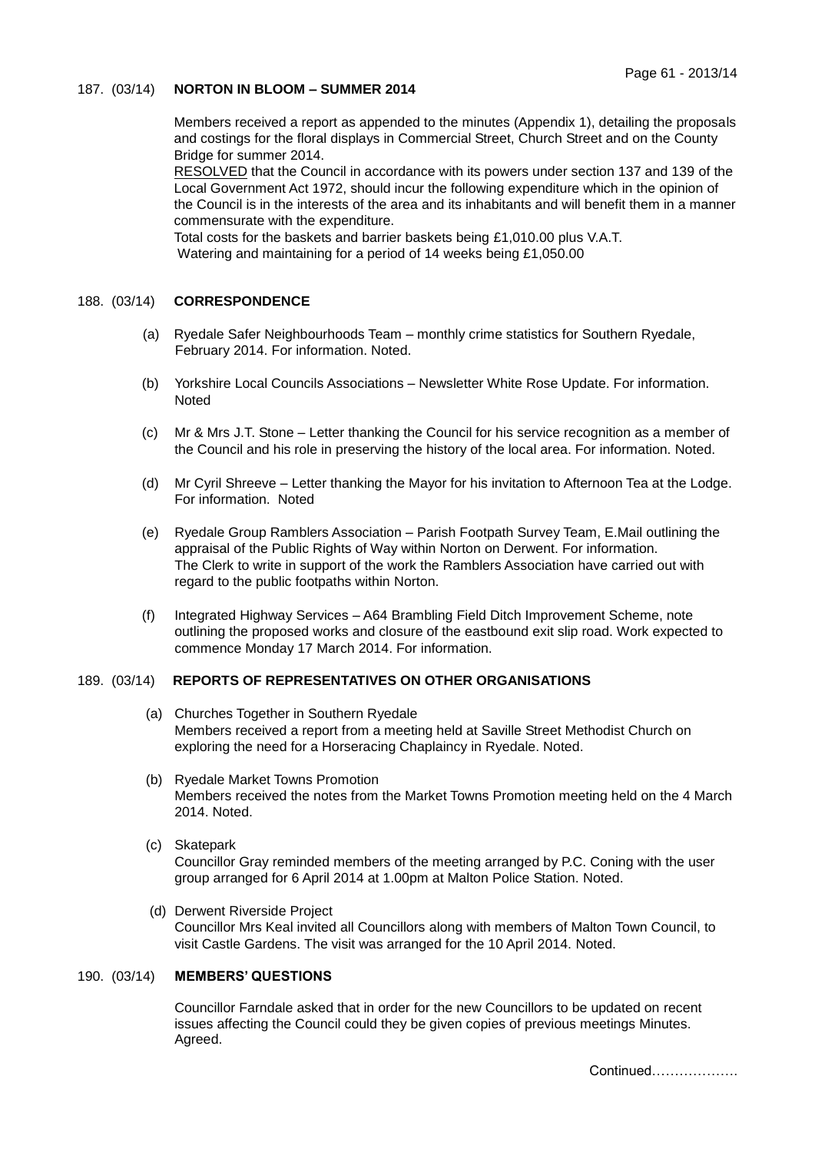## 187. (03/14) **NORTON IN BLOOM – SUMMER 2014**

 Members received a report as appended to the minutes (Appendix 1), detailing the proposals and costings for the floral displays in Commercial Street, Church Street and on the County Bridge for summer 2014.

RESOLVED that the Council in accordance with its powers under section 137 and 139 of the Local Government Act 1972, should incur the following expenditure which in the opinion of the Council is in the interests of the area and its inhabitants and will benefit them in a manner commensurate with the expenditure.

Total costs for the baskets and barrier baskets being £1,010.00 plus V.A.T. Watering and maintaining for a period of 14 weeks being £1,050.00

# 188. (03/14) **CORRESPONDENCE**

- (a) Ryedale Safer Neighbourhoods Team monthly crime statistics for Southern Ryedale, February 2014. For information. Noted.
- (b) Yorkshire Local Councils Associations Newsletter White Rose Update. For information. Noted
- (c) Mr & Mrs J.T. Stone Letter thanking the Council for his service recognition as a member of the Council and his role in preserving the history of the local area. For information. Noted.
- (d) Mr Cyril Shreeve Letter thanking the Mayor for his invitation to Afternoon Tea at the Lodge. For information. Noted
- (e) Ryedale Group Ramblers Association Parish Footpath Survey Team, E.Mail outlining the appraisal of the Public Rights of Way within Norton on Derwent. For information. The Clerk to write in support of the work the Ramblers Association have carried out with regard to the public footpaths within Norton.
- (f) Integrated Highway Services A64 Brambling Field Ditch Improvement Scheme, note outlining the proposed works and closure of the eastbound exit slip road. Work expected to commence Monday 17 March 2014. For information.

## 189. (03/14) **REPORTS OF REPRESENTATIVES ON OTHER ORGANISATIONS**

- (a) Churches Together in Southern Ryedale Members received a report from a meeting held at Saville Street Methodist Church on exploring the need for a Horseracing Chaplaincy in Ryedale. Noted.
- (b) Ryedale Market Towns Promotion Members received the notes from the Market Towns Promotion meeting held on the 4 March 2014. Noted.
- (c) Skatepark Councillor Gray reminded members of the meeting arranged by P.C. Coning with the user group arranged for 6 April 2014 at 1.00pm at Malton Police Station. Noted.
- (d) Derwent Riverside Project Councillor Mrs Keal invited all Councillors along with members of Malton Town Council, to visit Castle Gardens. The visit was arranged for the 10 April 2014. Noted.

## 190. (03/14) **MEMBERS' QUESTIONS**

Councillor Farndale asked that in order for the new Councillors to be updated on recent issues affecting the Council could they be given copies of previous meetings Minutes. Agreed.